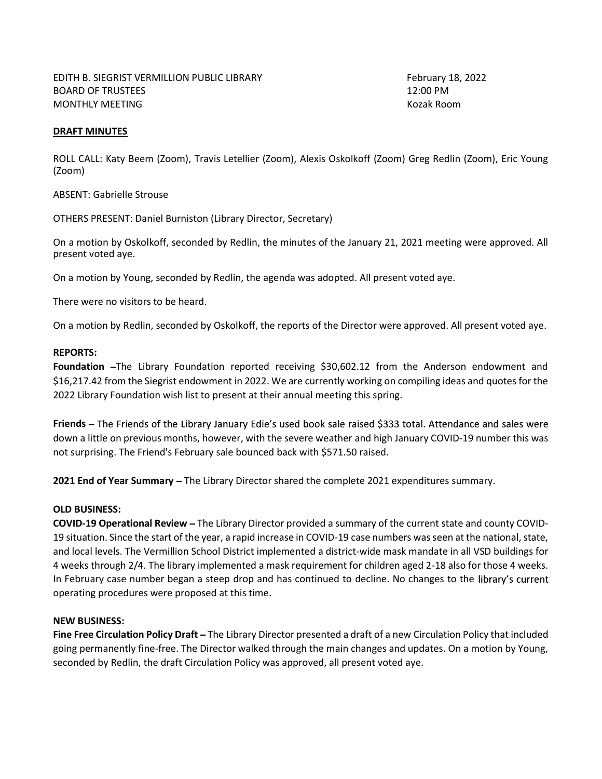## DRAFT MINUTES

ROLL CALL: Katy Beem (Zoom), Travis Letellier (Zoom), Alexis Oskolkoff (Zoom) Greg Redlin (Zoom), Eric Young (Zoom)

ABSENT: Gabrielle Strouse

OTHERS PRESENT: Daniel Burniston (Library Director, Secretary)

On a motion by Oskolkoff, seconded by Redlin, the minutes of the January 21, 2021 meeting were approved. All present voted aye.

On a motion by Young, seconded by Redlin, the agenda was adopted. All present voted aye.

There were no visitors to be heard.

On a motion by Redlin, seconded by Oskolkoff, the reports of the Director were approved. All present voted aye.

## REPORTS:

Foundation -The Library Foundation reported receiving \$30,602.12 from the Anderson endowment and \$16,217.42 from the Siegrist endowment in 2022. We are currently working on compiling ideas and quotes for the 2022 Library Foundation wish list to present at their annual meeting this spring.

Friends - The Friends of the Library January Edie's used book sale raised \$333 total. Attendance and sales were down a little on previous months, however, with the severe weather and high January COVID-19 number this was not surprising. The Friend's February sale bounced back with \$571.50 raised.

2021 End of Year Summary - The Library Director shared the complete 2021 expenditures summary.

## OLD BUSINESS:

COVID-19 Operational Review The Library Director provided a summary of the current state and county COVID-19 situation. Since the start of the year, a rapid increase in COVID-19 case numbers was seen at the national, state, and local levels. The Vermillion School District implemented a district-wide mask mandate in all VSD buildings for 4 weeks through 2/4. The library implemented a mask requirement for children aged 2-18 also for those 4 weeks. In February case number began a steep drop and has continued to decline. No changes to the library's current operating procedures were proposed at this time.

## NEW BUSINESS:

Fine Free Circulation Policy Draft - The Library Director presented a draft of a new Circulation Policy that included going permanently fine-free. The Director walked through the main changes and updates. On a motion by Young, seconded by Redlin, the draft Circulation Policy was approved, all present voted aye.